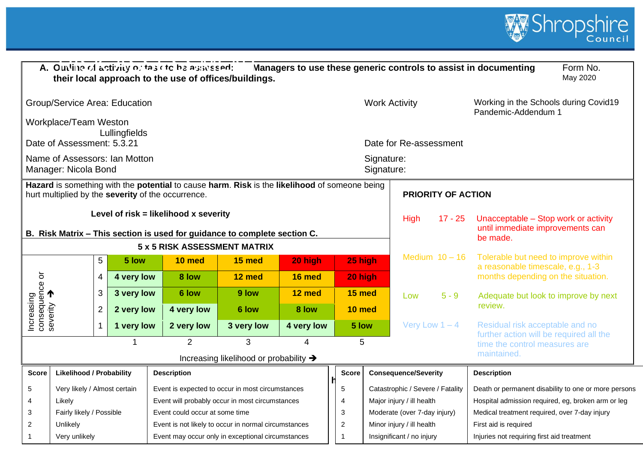

|              |                                                       |                |               | A. Outline of activity or table to be assessed:    | their local approach to the use of offices/buildings.                                         |            |                      |                          |                                  |                           | Managers to use these generic controls to assist in documenting          | Form No.<br>May 2020                                 |
|--------------|-------------------------------------------------------|----------------|---------------|----------------------------------------------------|-----------------------------------------------------------------------------------------------|------------|----------------------|--------------------------|----------------------------------|---------------------------|--------------------------------------------------------------------------|------------------------------------------------------|
|              | <b>Group/Service Area: Education</b>                  |                |               |                                                    |                                                                                               |            |                      | <b>Work Activity</b>     |                                  |                           | Working in the Schools during Covid19<br>Pandemic-Addendum 1             |                                                      |
|              | Workplace/Team Weston<br>Date of Assessment: 5.3.21   |                | Lullingfields |                                                    |                                                                                               |            |                      |                          | Date for Re-assessment           |                           |                                                                          |                                                      |
|              | Name of Assessors: Ian Motton<br>Manager: Nicola Bond |                |               |                                                    |                                                                                               |            |                      | Signature:<br>Signature: |                                  |                           |                                                                          |                                                      |
|              |                                                       |                |               | hurt multiplied by the severity of the occurrence. | Hazard is something with the potential to cause harm. Risk is the likelihood of someone being |            |                      |                          |                                  | <b>PRIORITY OF ACTION</b> |                                                                          |                                                      |
|              |                                                       |                |               | Level of risk = likelihood x severity              | B. Risk Matrix - This section is used for guidance to complete section C.                     |            |                      |                          | <b>High</b>                      | $17 - 25$                 | Unacceptable - Stop work or activity<br>until immediate improvements can |                                                      |
|              |                                                       |                |               |                                                    | 5 x 5 RISK ASSESSMENT MATRIX                                                                  |            |                      |                          |                                  |                           | be made.                                                                 |                                                      |
|              |                                                       | 5              | 5 low         | 10 med                                             | 15 med                                                                                        | 20 high    | 25 high              |                          | Medium $10 - 16$                 |                           | Tolerable but need to improve within                                     |                                                      |
| ŏ            |                                                       | $\overline{4}$ | 4 very low    | 8 low                                              | 12 med                                                                                        | 16 med     | 20 high              |                          |                                  |                           | a reasonable timescale, e.g., 1-3<br>months depending on the situation.  |                                                      |
| consequence  |                                                       | 3              | 3 very low    | 6 low                                              | 9 low                                                                                         | 12 med     | 15 med               |                          | Low                              | $5 - 9$                   | Adequate but look to improve by next                                     |                                                      |
| Increasing   |                                                       | $\overline{2}$ | 2 very low    | 4 very low                                         | 6 low                                                                                         | 8 low      | 10 med               |                          |                                  |                           | review.                                                                  |                                                      |
|              |                                                       | 1              | 1 very low    | 2 very low                                         | 3 very low                                                                                    | 4 very low | 5 low                |                          | Very Low $1 - 4$                 |                           | Residual risk acceptable and no                                          |                                                      |
|              |                                                       |                |               | $\overline{2}$                                     | 3                                                                                             |            | 5                    |                          |                                  |                           | further action will be required all the<br>time the control measures are |                                                      |
|              |                                                       |                |               |                                                    | Increasing likelihood or probability →                                                        |            |                      |                          |                                  |                           | maintained.                                                              |                                                      |
| <b>Score</b> | <b>Likelihood / Probability</b>                       |                |               | <b>Description</b>                                 |                                                                                               |            | <b>Score</b>         |                          | <b>Consequence/Severity</b>      |                           | <b>Description</b>                                                       |                                                      |
| 5            | Very likely / Almost certain                          |                |               |                                                    | Event is expected to occur in most circumstances                                              |            | 5                    |                          | Catastrophic / Severe / Fatality |                           |                                                                          | Death or permanent disability to one or more persons |
| 4            | Likely                                                |                |               |                                                    | Event will probably occur in most circumstances                                               |            | $\overline{4}$       |                          | Major injury / ill health        |                           | Hospital admission required, eg, broken arm or leg                       |                                                      |
| 3            | Fairly likely / Possible                              |                |               | Event could occur at some time                     |                                                                                               |            | 3                    |                          | Moderate (over 7-day injury)     |                           | Medical treatment required, over 7-day injury                            |                                                      |
| 2            | Unlikely                                              |                |               |                                                    | Event is not likely to occur in normal circumstances                                          |            | $\overline{2}$       |                          | Minor injury / ill health        |                           | First aid is required                                                    |                                                      |
| $\mathbf{1}$ | Very unlikely                                         |                |               |                                                    | Event may occur only in exceptional circumstances                                             |            | $\blacktriangleleft$ |                          | Insignificant / no injury        |                           | Injuries not requiring first aid treatment                               |                                                      |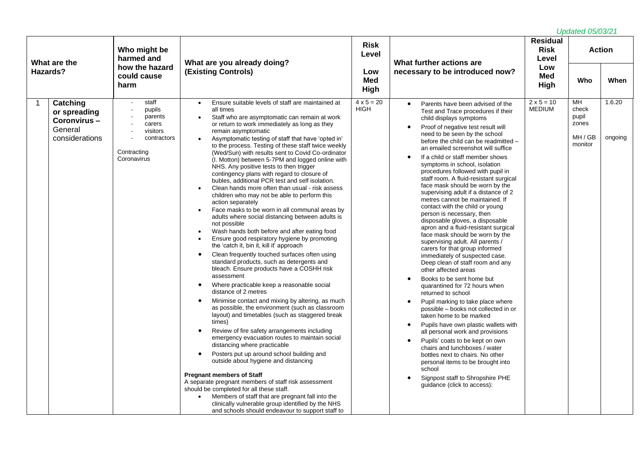| What are the                                                         | Who might be<br>harmed and                                                                    |                                                                                                                                                                                                                                                                                                                                                                                                                                                                                                                                                                                                                                                                                                                                                                                                                                                                                                                                                                                                                                                                                                                                                                                                                                                                                                                                                                                                                                                                                                                                                                                                                                                                                                                                                                                                                                                                                                                                                                                             | <b>Risk</b><br>Level             | What further actions are                                                                                                                                                                                                                                                                                                                                                                                                                                                                                                                                                                                                                                                                                                                                                                                                                                                                                                                                                                                                                                                                                                                                                                                                                                                                                                                                                     | <b>Residual</b><br><b>Risk</b><br>Level | <u>Upuuluu Vurvur 1</u>                             | <b>Action</b>     |
|----------------------------------------------------------------------|-----------------------------------------------------------------------------------------------|---------------------------------------------------------------------------------------------------------------------------------------------------------------------------------------------------------------------------------------------------------------------------------------------------------------------------------------------------------------------------------------------------------------------------------------------------------------------------------------------------------------------------------------------------------------------------------------------------------------------------------------------------------------------------------------------------------------------------------------------------------------------------------------------------------------------------------------------------------------------------------------------------------------------------------------------------------------------------------------------------------------------------------------------------------------------------------------------------------------------------------------------------------------------------------------------------------------------------------------------------------------------------------------------------------------------------------------------------------------------------------------------------------------------------------------------------------------------------------------------------------------------------------------------------------------------------------------------------------------------------------------------------------------------------------------------------------------------------------------------------------------------------------------------------------------------------------------------------------------------------------------------------------------------------------------------------------------------------------------------|----------------------------------|------------------------------------------------------------------------------------------------------------------------------------------------------------------------------------------------------------------------------------------------------------------------------------------------------------------------------------------------------------------------------------------------------------------------------------------------------------------------------------------------------------------------------------------------------------------------------------------------------------------------------------------------------------------------------------------------------------------------------------------------------------------------------------------------------------------------------------------------------------------------------------------------------------------------------------------------------------------------------------------------------------------------------------------------------------------------------------------------------------------------------------------------------------------------------------------------------------------------------------------------------------------------------------------------------------------------------------------------------------------------------|-----------------------------------------|-----------------------------------------------------|-------------------|
| Hazards?                                                             | how the hazard<br>could cause<br>harm                                                         | What are you already doing?<br><b>(Existing Controls)</b>                                                                                                                                                                                                                                                                                                                                                                                                                                                                                                                                                                                                                                                                                                                                                                                                                                                                                                                                                                                                                                                                                                                                                                                                                                                                                                                                                                                                                                                                                                                                                                                                                                                                                                                                                                                                                                                                                                                                   | Low<br><b>Med</b><br>High        | necessary to be introduced now?                                                                                                                                                                                                                                                                                                                                                                                                                                                                                                                                                                                                                                                                                                                                                                                                                                                                                                                                                                                                                                                                                                                                                                                                                                                                                                                                              | Low<br>Med<br>High                      | Who                                                 | When              |
| Catching<br>or spreading<br>Coronvirus-<br>General<br>considerations | staff<br>pupils<br>parents<br>carers<br>visitors<br>contractors<br>Contracting<br>Coronavirus | Ensure suitable levels of staff are maintained at<br>$\bullet$<br>all times<br>Staff who are asymptomatic can remain at work<br>or return to work immediately as long as they<br>remain asymptomatic<br>Asymptomatic testing of staff that have 'opted in'<br>to the process. Testing of these staff twice weekly<br>(Wed/Sun) with results sent to Covid Co-ordinator<br>(I. Motton) between 5-7PM and logged online with<br>NHS. Any positive tests to then trigger<br>contingency plans with regard to closure of<br>bubles, additional PCR test and self isolation.<br>Clean hands more often than usual - risk assess<br>children who may not be able to perform this<br>action separately<br>Face masks to be worn in all communal areas by<br>adults where social distancing between adults is<br>not possible<br>Wash hands both before and after eating food<br>$\bullet$<br>Ensure good respiratory hygiene by promoting<br>$\bullet$<br>the 'catch it, bin it, kill it' approach<br>Clean frequently touched surfaces often using<br>$\bullet$<br>standard products, such as detergents and<br>bleach. Ensure products have a COSHH risk<br>assessment<br>Where practicable keep a reasonable social<br>$\bullet$<br>distance of 2 metres<br>Minimise contact and mixing by altering, as much<br>$\bullet$<br>as possible, the environment (such as classroom<br>layout) and timetables (such as staggered break<br>times)<br>Review of fire safety arrangements including<br>$\bullet$<br>emergency evacuation routes to maintain social<br>distancing where practicable<br>Posters put up around school building and<br>outside about hygiene and distancing<br><b>Pregnant members of Staff</b><br>A separate pregnant members of staff risk assessment<br>should be completed for all these staff.<br>Members of staff that are pregnant fall into the<br>$\bullet$<br>clinically vulnerable group identified by the NHS<br>and schools should endeavour to support staff to | $4 \times 5 = 20$<br><b>HIGH</b> | Parents have been advised of the<br>Test and Trace procedures if their<br>child displays symptoms<br>Proof of negative test result will<br>need to be seen by the school<br>before the child can be readmitted -<br>an emailed screenshot will suffice<br>If a child or staff member shows<br>symptoms in school, isolation<br>procedures followed with pupil in<br>staff room. A fluid-resistant surgical<br>face mask should be worn by the<br>supervising adult if a distance of 2<br>metres cannot be maintained. If<br>contact with the child or young<br>person is necessary, then<br>disposable gloves, a disposable<br>apron and a fluid-resistant surgical<br>face mask should be worn by the<br>supervising adult. All parents /<br>carers for that group informed<br>immediately of suspected case.<br>Deep clean of staff room and any<br>other affected areas<br>Books to be sent home but<br>quarantined for 72 hours when<br>returned to school<br>Pupil marking to take place where<br>possible - books not collected in or<br>taken home to be marked<br>Pupils have own plastic wallets with<br>all personal work and provisions<br>Pupils' coats to be kept on own<br>chairs and lunchboxes / water<br>bottles next to chairs. No other<br>personal items to be brought into<br>school<br>Signpost staff to Shropshire PHE<br>guidance (click to access): | $2 \times 5 = 10$<br><b>MEDIUM</b>      | MН<br>check<br>pupil<br>zones<br>MH / GB<br>monitor | 1.6.20<br>ongoing |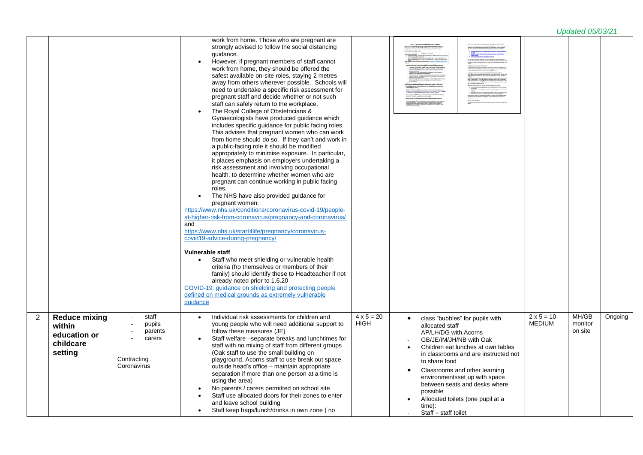|                |                                |                            | work from home. Those who are pregnant are<br>strongly advised to follow the social distancing<br>quidance.<br>However, if pregnant members of staff cannot<br>work from home, they should be offered the<br>safest available on-site roles, staying 2 metres<br>away from others wherever possible. Schools will<br>need to undertake a specific risk assessment for<br>pregnant staff and decide whether or not such<br>staff can safely return to the workplace.<br>The Royal College of Obstetricians &<br>Gynaecologists have produced guidance which |                                  |                                                                     |                                    |                  |         |
|----------------|--------------------------------|----------------------------|------------------------------------------------------------------------------------------------------------------------------------------------------------------------------------------------------------------------------------------------------------------------------------------------------------------------------------------------------------------------------------------------------------------------------------------------------------------------------------------------------------------------------------------------------------|----------------------------------|---------------------------------------------------------------------|------------------------------------|------------------|---------|
|                |                                |                            | includes specific guidance for public facing roles.<br>This advises that pregnant women who can work                                                                                                                                                                                                                                                                                                                                                                                                                                                       |                                  |                                                                     |                                    |                  |         |
|                |                                |                            | from home should do so. If they can't and work in<br>a public-facing role it should be modified                                                                                                                                                                                                                                                                                                                                                                                                                                                            |                                  |                                                                     |                                    |                  |         |
|                |                                |                            | appropriately to minimise exposure. In particular,                                                                                                                                                                                                                                                                                                                                                                                                                                                                                                         |                                  |                                                                     |                                    |                  |         |
|                |                                |                            | it places emphasis on employers undertaking a<br>risk assessment and involving occupational                                                                                                                                                                                                                                                                                                                                                                                                                                                                |                                  |                                                                     |                                    |                  |         |
|                |                                |                            | health, to determine whether women who are                                                                                                                                                                                                                                                                                                                                                                                                                                                                                                                 |                                  |                                                                     |                                    |                  |         |
|                |                                |                            | pregnant can continue working in public facing<br>roles.                                                                                                                                                                                                                                                                                                                                                                                                                                                                                                   |                                  |                                                                     |                                    |                  |         |
|                |                                |                            | The NHS have also provided guidance for                                                                                                                                                                                                                                                                                                                                                                                                                                                                                                                    |                                  |                                                                     |                                    |                  |         |
|                |                                |                            | pregnant women:                                                                                                                                                                                                                                                                                                                                                                                                                                                                                                                                            |                                  |                                                                     |                                    |                  |         |
|                |                                |                            | https://www.nhs.uk/conditions/coronavirus-covid-19/people-<br>at-higher-risk-from-coronavirus/pregnancy-and-coronavirus/                                                                                                                                                                                                                                                                                                                                                                                                                                   |                                  |                                                                     |                                    |                  |         |
|                |                                |                            | and                                                                                                                                                                                                                                                                                                                                                                                                                                                                                                                                                        |                                  |                                                                     |                                    |                  |         |
|                |                                |                            | https://www.nhs.uk/start4life/pregnancy/coronavirus-<br>covid19-advice-during-pregnancy/                                                                                                                                                                                                                                                                                                                                                                                                                                                                   |                                  |                                                                     |                                    |                  |         |
|                |                                |                            |                                                                                                                                                                                                                                                                                                                                                                                                                                                                                                                                                            |                                  |                                                                     |                                    |                  |         |
|                |                                |                            | <b>Vulnerable staff</b><br>Staff who meet shielding or vulnerable health                                                                                                                                                                                                                                                                                                                                                                                                                                                                                   |                                  |                                                                     |                                    |                  |         |
|                |                                |                            | criteria (fro themselves or members of their                                                                                                                                                                                                                                                                                                                                                                                                                                                                                                               |                                  |                                                                     |                                    |                  |         |
|                |                                |                            | family) should identify these to Headteacher if not<br>already noted prior to 1.6.20                                                                                                                                                                                                                                                                                                                                                                                                                                                                       |                                  |                                                                     |                                    |                  |         |
|                |                                |                            | COVID-19: guidance on shielding and protecting people                                                                                                                                                                                                                                                                                                                                                                                                                                                                                                      |                                  |                                                                     |                                    |                  |         |
|                |                                |                            | defined on medical grounds as extremely vulnerable                                                                                                                                                                                                                                                                                                                                                                                                                                                                                                         |                                  |                                                                     |                                    |                  |         |
|                |                                |                            | quidance                                                                                                                                                                                                                                                                                                                                                                                                                                                                                                                                                   |                                  |                                                                     |                                    |                  |         |
| $\overline{2}$ | <b>Reduce mixing</b><br>within | staff<br>pupils            | Individual risk assessments for children and<br>young people who will need additional support to                                                                                                                                                                                                                                                                                                                                                                                                                                                           | $4 \times 5 = 20$<br><b>HIGH</b> | class "bubbles" for pupils with<br>allocated staff                  | $2 \times 5 = 10$<br><b>MEDIUM</b> | MH/GB<br>monitor | Ongoing |
|                | education or                   | parents<br>carers          | follow these measures (JE)<br>Staff welfare -separate breaks and lunchtimes for                                                                                                                                                                                                                                                                                                                                                                                                                                                                            |                                  | AP/LH/DG with Acorns                                                |                                    | on site          |         |
|                | childcare                      |                            | staff with no mixing of staff from different groups                                                                                                                                                                                                                                                                                                                                                                                                                                                                                                        |                                  | GB/JE/IM/JH/NB with Oak<br>Children eat lunches at own tables       |                                    |                  |         |
|                | setting                        |                            | (Oak staff to use the small building on                                                                                                                                                                                                                                                                                                                                                                                                                                                                                                                    |                                  | in classrooms and are instructed not                                |                                    |                  |         |
|                |                                | Contracting<br>Coronavirus | playground, Acorns staff to use break out space<br>outside head's office - maintain appropriate                                                                                                                                                                                                                                                                                                                                                                                                                                                            |                                  | to share food                                                       |                                    |                  |         |
|                |                                |                            | separation if more than one person at a time is                                                                                                                                                                                                                                                                                                                                                                                                                                                                                                            |                                  | Classrooms and other learning<br>٠<br>environmentsset up with space |                                    |                  |         |
|                |                                |                            | using the area)                                                                                                                                                                                                                                                                                                                                                                                                                                                                                                                                            |                                  | between seats and desks where                                       |                                    |                  |         |
|                |                                |                            | No parents / carers permitted on school site<br>$\bullet$<br>Staff use allocated doors for their zones to enter                                                                                                                                                                                                                                                                                                                                                                                                                                            |                                  | possible                                                            |                                    |                  |         |
|                |                                |                            | and leave school building                                                                                                                                                                                                                                                                                                                                                                                                                                                                                                                                  |                                  | Allocated toilets (one pupil at a<br>time):                         |                                    |                  |         |
|                |                                |                            | Staff keep bags/lunch/drinks in own zone (no<br>$\bullet$                                                                                                                                                                                                                                                                                                                                                                                                                                                                                                  |                                  | Staff – staff toilet                                                |                                    |                  |         |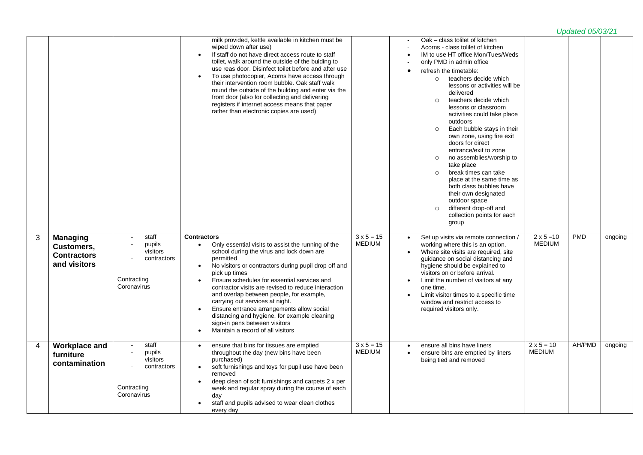|   |                                                                     |                                                                                          | milk provided, kettle available in kitchen must be<br>wiped down after use)<br>If staff do not have direct access route to staff<br>toilet, walk around the outside of the buiding to<br>use reas door. Disinfect toilet before and after use<br>To use photocopier, Acorns have access through<br>their intervention room bubble. Oak staff walk<br>round the outside of the building and enter via the<br>front door (also for collecting and delivering<br>registers if internet access means that paper<br>rather than electronic copies are used)                                                     |                                    | Oak - class tolilet of kitchen<br>Acorns - class tolilet of kitchen<br>IM to use HT office Mon/Tues/Weds<br>only PMD in admin office<br>refresh the timetable:<br>$\bullet$<br>o teachers decide which<br>lessons or activities will be<br>delivered<br>teachers decide which<br>$\circ$<br>lessons or classroom<br>activities could take place<br>outdoors<br>Each bubble stays in their<br>$\circ$<br>own zone, using fire exit<br>doors for direct<br>entrance/exit to zone<br>no assemblies/worship to<br>$\circ$<br>take place<br>break times can take<br>$\circ$<br>place at the same time as<br>both class bubbles have<br>their own designated<br>outdoor space<br>different drop-off and<br>$\circ$<br>collection points for each<br>group |                                    |            |         |
|---|---------------------------------------------------------------------|------------------------------------------------------------------------------------------|------------------------------------------------------------------------------------------------------------------------------------------------------------------------------------------------------------------------------------------------------------------------------------------------------------------------------------------------------------------------------------------------------------------------------------------------------------------------------------------------------------------------------------------------------------------------------------------------------------|------------------------------------|-----------------------------------------------------------------------------------------------------------------------------------------------------------------------------------------------------------------------------------------------------------------------------------------------------------------------------------------------------------------------------------------------------------------------------------------------------------------------------------------------------------------------------------------------------------------------------------------------------------------------------------------------------------------------------------------------------------------------------------------------------|------------------------------------|------------|---------|
| 3 | <b>Managing</b><br>Customers,<br><b>Contractors</b><br>and visitors | staff<br>pupils<br>visitors<br>contractors<br>Contracting<br>Coronavirus                 | <b>Contractors</b><br>Only essential visits to assist the running of the<br>$\bullet$<br>school during the virus and lock down are<br>permitted<br>No visitors or contractors during pupil drop off and<br>$\bullet$<br>pick up times<br>Ensure schedules for essential services and<br>$\bullet$<br>contractor visits are revised to reduce interaction<br>and overlap between people, for example,<br>carrying out services at night.<br>Ensure entrance arrangements allow social<br>distancing and hygiene, for example cleaning<br>sign-in pens between visitors<br>Maintain a record of all visitors | $3 \times 5 = 15$<br><b>MEDIUM</b> | Set up visits via remote connection /<br>working where this is an option.<br>Where site visits are required, site<br>guidance on social distancing and<br>hygiene should be explained to<br>visitors on or before arrival.<br>Limit the number of visitors at any<br>one time.<br>Limit visitor times to a specific time<br>window and restrict access to<br>required visitors only.                                                                                                                                                                                                                                                                                                                                                                | $2 \times 5 = 10$<br><b>MEDIUM</b> | <b>PMD</b> | ongoing |
| 4 | <b>Workplace and</b><br>furniture<br>contamination                  | staff<br>pupils<br>visitors<br>$\mathbf{r}$<br>contractors<br>Contracting<br>Coronavirus | ensure that bins for tissues are emptied<br>$\bullet$<br>throughout the day (new bins have been<br>purchased)<br>soft furnishings and toys for pupil use have been<br>$\bullet$<br>removed<br>deep clean of soft furnishings and carpets 2 x per<br>week and regular spray during the course of each<br>day<br>staff and pupils advised to wear clean clothes<br>$\bullet$<br>every day                                                                                                                                                                                                                    | $3 \times 5 = 15$<br><b>MEDIUM</b> | ensure all bins have liners<br>$\bullet$<br>ensure bins are emptied by liners<br>being tied and removed                                                                                                                                                                                                                                                                                                                                                                                                                                                                                                                                                                                                                                             | $2 \times 5 = 10$<br><b>MEDIUM</b> | AH/PMD     | ongoing |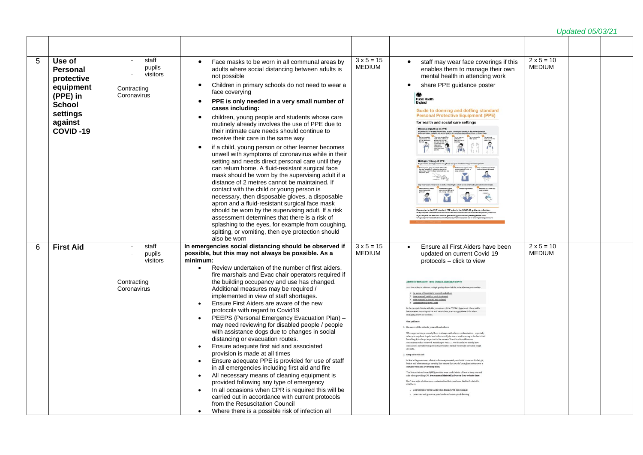| 5 | Use of<br><b>Personal</b><br>protective<br>equipment<br>(PPE) in<br><b>School</b><br>settings<br>against<br>COVID-19 | staff<br>pupils<br>visitors<br>Contracting<br>Coronavirus | Face masks to be worn in all communal areas by<br>adults where social distancing between adults is<br>not possible<br>Children in primary schools do not need to wear a<br>$\bullet$<br>face coverying<br>PPE is only needed in a very small number of<br>$\bullet$<br>cases including:<br>children, young people and students whose care<br>$\bullet$<br>routinely already involves the use of PPE due to<br>their intimate care needs should continue to<br>receive their care in the same way<br>if a child, young person or other learner becomes<br>$\bullet$<br>unwell with symptoms of coronavirus while in their<br>setting and needs direct personal care until they<br>can return home. A fluid-resistant surgical face<br>mask should be worn by the supervising adult if a<br>distance of 2 metres cannot be maintained. If<br>contact with the child or young person is<br>necessary, then disposable gloves, a disposable<br>apron and a fluid-resistant surgical face mask<br>should be worn by the supervising adult. If a risk<br>assessment determines that there is a risk of<br>splashing to the eyes, for example from coughing,<br>spitting, or vomiting, then eye protection should<br>also be worn | $3 \times 5 = 15$<br><b>MEDIUM</b> | staff may wear face coverings if this<br>enables them to manage their own<br>mental health in attending work<br>share PPE guidance poster<br><b>Public Health</b><br>England<br>Guide to donning and doffing standard<br><b>Personal Protective Equipment (PPE)</b><br>for health and social care settings<br>ing or putting on PPE<br>Doffing or taking off PPE<br>Hease refer to the PHE standard PPE video in the COVID-19 guid<br>f you require the PPE for aerosol generating procedures (AGPs) please visit:                                                                                                                                                                                                                                                                                                                                                                                                                                                                                                                                                                                                                                                                                                                                                                                                                                                                                                                                                                                                                                                                                                                                                                                                                                                                               | $2 \times 5 = 10$<br><b>MEDIUM</b> |  |
|---|----------------------------------------------------------------------------------------------------------------------|-----------------------------------------------------------|----------------------------------------------------------------------------------------------------------------------------------------------------------------------------------------------------------------------------------------------------------------------------------------------------------------------------------------------------------------------------------------------------------------------------------------------------------------------------------------------------------------------------------------------------------------------------------------------------------------------------------------------------------------------------------------------------------------------------------------------------------------------------------------------------------------------------------------------------------------------------------------------------------------------------------------------------------------------------------------------------------------------------------------------------------------------------------------------------------------------------------------------------------------------------------------------------------------------------|------------------------------------|--------------------------------------------------------------------------------------------------------------------------------------------------------------------------------------------------------------------------------------------------------------------------------------------------------------------------------------------------------------------------------------------------------------------------------------------------------------------------------------------------------------------------------------------------------------------------------------------------------------------------------------------------------------------------------------------------------------------------------------------------------------------------------------------------------------------------------------------------------------------------------------------------------------------------------------------------------------------------------------------------------------------------------------------------------------------------------------------------------------------------------------------------------------------------------------------------------------------------------------------------------------------------------------------------------------------------------------------------------------------------------------------------------------------------------------------------------------------------------------------------------------------------------------------------------------------------------------------------------------------------------------------------------------------------------------------------------------------------------------------------------------------------------------------------|------------------------------------|--|
| 6 | <b>First Aid</b>                                                                                                     | staff<br>pupils<br>visitors<br>Contracting<br>Coronavirus | In emergencies social distancing should be observed if<br>possible, but this may not always be possible. As a<br>minimum:<br>Review undertaken of the number of first aiders,<br>fire marshals and Evac chair operators required if<br>the building occupancy and use has changed.<br>Additional measures may be required /<br>implemented in view of staff shortages.<br>Ensure First Aiders are aware of the new<br>$\bullet$<br>protocols with regard to Covid19<br>PEEPS (Personal Emergency Evacuation Plan) -<br>$\bullet$<br>may need reviewing for disabled people / people<br>with assistance dogs due to changes in social<br>distancing or evacuation routes.<br>Ensure adequate first aid and associated<br>$\bullet$<br>provision is made at all times<br>Ensure adequate PPE is provided for use of staff<br>$\bullet$<br>in all emergencies including first aid and fire<br>All necessary means of cleaning equipment is<br>$\bullet$<br>provided following any type of emergency<br>In all occasions when CPR is required this will be<br>$\bullet$<br>carried out in accordance with current protocols<br>from the Resuscitation Council<br>Where there is a possible risk of infection all<br>$\bullet$  | $3 \times 5 = 15$<br><b>MEDIUM</b> | Ensure all First Aiders have been<br>$\bullet$<br>updated on current Covid 19<br>protocols - click to view<br>Advice for first aiders - from St John's Ambulance Service<br>As a first aider, in addition to high quality clinical skills, to be effective you need to<br>Be aware of the risks to yourself and others<br>7. Keep yourself safeGive early treatment<br>Keep yourself informed and updated<br>4. Remember your own needs<br>In the current climate with the prevalence of the COVID-19 pandemic, these skills<br>become even more important and here is how you can apply these skills when<br>managing a first aid incident.<br>Our guid:<br>1. Be aveve of the risks to yourself and other<br>When approaching a capualty there is always a risk of cross contamination - especial<br>when you may have to get close to the casualty to assess what is wrong or to check the<br>breathing. It is always important to be aware of the risks of how this cross<br>nation has occurred. According to NHS 111 we do not know exactly how<br>coronavirus sureads from person to person but similar viruses are spread in cough<br>2. Keep yourself safe<br>In line with government advice, make sure you wash your hands or use an alcohol gel<br>before and after treating a casualty also ensure that you don't cough or sneeze over<br>casualty when you are treating the<br>The Resuscitation Council (UK) provides some useful advice of how to keep yourself<br>safe when providing CPR. You can read their full advice on their website here<br>Don't lose sight of other cross contamination that could occur that isn't related to<br><sup>6</sup> Wear gloves or cover hands when dealing with open wounds<br>" Cover cuts and grazes on your hands with waterproof dressi | $2 \times 5 = 10$<br><b>MEDIUM</b> |  |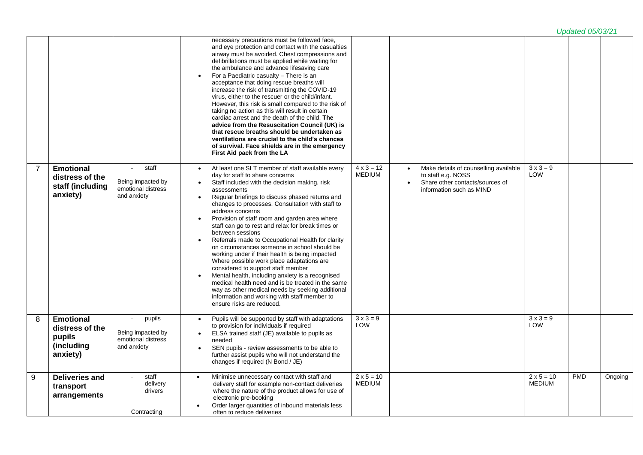|                |                                                                         |                                                                  |                                                                                                                                                                                                                                                                                                                                                                                                                                                                                                                                                                                                                                                                                                                                                                                                                                                                                                            |                                    |                                                                                                                            |                                    | <b>Updated 05/03/21</b> |         |
|----------------|-------------------------------------------------------------------------|------------------------------------------------------------------|------------------------------------------------------------------------------------------------------------------------------------------------------------------------------------------------------------------------------------------------------------------------------------------------------------------------------------------------------------------------------------------------------------------------------------------------------------------------------------------------------------------------------------------------------------------------------------------------------------------------------------------------------------------------------------------------------------------------------------------------------------------------------------------------------------------------------------------------------------------------------------------------------------|------------------------------------|----------------------------------------------------------------------------------------------------------------------------|------------------------------------|-------------------------|---------|
|                |                                                                         |                                                                  | necessary precautions must be followed face,<br>and eye protection and contact with the casualties<br>airway must be avoided. Chest compressions and<br>defibrillations must be applied while waiting for<br>the ambulance and advance lifesaving care<br>For a Paediatric casualty - There is an<br>acceptance that doing rescue breaths will<br>increase the risk of transmitting the COVID-19<br>virus, either to the rescuer or the child/infant.<br>However, this risk is small compared to the risk of<br>taking no action as this will result in certain<br>cardiac arrest and the death of the child. The<br>advice from the Resuscitation Council (UK) is<br>that rescue breaths should be undertaken as<br>ventilations are crucial to the child's chances<br>of survival. Face shields are in the emergency<br>First Aid pack from the LA                                                       |                                    |                                                                                                                            |                                    |                         |         |
| $\overline{7}$ | <b>Emotional</b><br>distress of the<br>staff (including<br>anxiety)     | staff<br>Being impacted by<br>emotional distress<br>and anxiety  | At least one SLT member of staff available every<br>day for staff to share concerns<br>Staff included with the decision making, risk<br>assessments<br>Regular briefings to discuss phased returns and<br>$\bullet$<br>changes to processes. Consultation with staff to<br>address concerns<br>Provision of staff room and garden area where<br>staff can go to rest and relax for break times or<br>between sessions<br>Referrals made to Occupational Health for clarity<br>on circumstances someone in school should be<br>working under if their health is being impacted<br>Where possible work place adaptations are<br>considered to support staff member<br>Mental health, including anxiety is a recognised<br>medical health need and is be treated in the same<br>way as other medical needs by seeking additional<br>information and working with staff member to<br>ensure risks are reduced. | $4 \times 3 = 12$<br><b>MEDIUM</b> | Make details of counselling available<br>to staff e.g. NOSS<br>Share other contacts/sources of<br>information such as MIND | $3 \times 3 = 9$<br>LOW            |                         |         |
| 8              | <b>Emotional</b><br>distress of the<br>pupils<br>(including<br>anxiety) | pupils<br>Being impacted by<br>emotional distress<br>and anxiety | Pupils will be supported by staff with adaptations<br>to provision for individuals if required<br>ELSA trained staff (JE) available to pupils as<br>needed<br>SEN pupils - review assessments to be able to<br>further assist pupils who will not understand the<br>changes if required (N Bond / JE)                                                                                                                                                                                                                                                                                                                                                                                                                                                                                                                                                                                                      | $3 \times 3 = 9$<br>LOW            |                                                                                                                            | $3 \times 3 = 9$<br>LOW            |                         |         |
| 9              | <b>Deliveries and</b><br>transport<br>arrangements                      | staff<br>delivery<br>drivers<br>Contracting                      | Minimise unnecessary contact with staff and<br>$\bullet$<br>delivery staff for example non-contact deliveries<br>where the nature of the product allows for use of<br>electronic pre-booking<br>Order larger quantities of inbound materials less<br>often to reduce deliveries                                                                                                                                                                                                                                                                                                                                                                                                                                                                                                                                                                                                                            | $2 \times 5 = 10$<br><b>MEDIUM</b> |                                                                                                                            | $2 \times 5 = 10$<br><b>MEDIUM</b> | <b>PMD</b>              | Ongoing |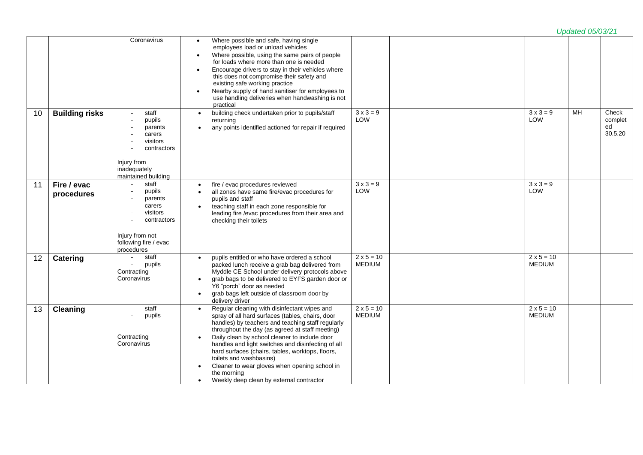|    |                           |                                                                                                                           |                                                                                                                                                                                                                                                                                                                                                                                                                                                                                                                                      |                                    |                                    | <b>Updated 05/03/21</b> |                                   |
|----|---------------------------|---------------------------------------------------------------------------------------------------------------------------|--------------------------------------------------------------------------------------------------------------------------------------------------------------------------------------------------------------------------------------------------------------------------------------------------------------------------------------------------------------------------------------------------------------------------------------------------------------------------------------------------------------------------------------|------------------------------------|------------------------------------|-------------------------|-----------------------------------|
|    |                           | Coronavirus                                                                                                               | Where possible and safe, having single<br>employees load or unload vehicles<br>Where possible, using the same pairs of people<br>for loads where more than one is needed<br>Encourage drivers to stay in their vehicles where<br>this does not compromise their safety and<br>existing safe working practice<br>Nearby supply of hand sanitiser for employees to<br>use handling deliveries when handwashing is not<br>practical                                                                                                     |                                    |                                    |                         |                                   |
| 10 | <b>Building risks</b>     | staff<br>pupils<br>parents<br>carers<br>visitors<br>contractors<br>Injury from<br>inadequately<br>maintained building     | building check undertaken prior to pupils/staff<br>$\bullet$<br>returning<br>any points identified actioned for repair if required<br>$\bullet$                                                                                                                                                                                                                                                                                                                                                                                      | $3 \times 3 = 9$<br>LOW            | $3 \times 3 = 9$<br>LOW            | MH                      | Check<br>complet<br>ed<br>30.5.20 |
| 11 | Fire / evac<br>procedures | staff<br>pupils<br>parents<br>carers<br>visitors<br>contractors<br>Injury from not<br>following fire / evac<br>procedures | fire / evac procedures reviewed<br>$\bullet$<br>all zones have same fire/evac procedures for<br>$\bullet$<br>pupils and staff<br>teaching staff in each zone responsible for<br>leading fire /evac procedures from their area and<br>checking their toilets                                                                                                                                                                                                                                                                          | $3 \times 3 = 9$<br>LOW            | $3 \times 3 = 9$<br>LOW            |                         |                                   |
| 12 | Catering                  | staff<br>pupils<br>$\mathbf{r}$<br>Contracting<br>Coronavirus                                                             | pupils entitled or who have ordered a school<br>$\bullet$<br>packed lunch receive a grab bag delivered from<br>Myddle CE School under delivery protocols above<br>grab bags to be delivered to EYFS garden door or<br>Y6 "porch" door as needed<br>grab bags left outside of classroom door by<br>$\bullet$<br>delivery driver                                                                                                                                                                                                       | $2 \times 5 = 10$<br><b>MEDIUM</b> | $2 \times 5 = 10$<br><b>MEDIUM</b> |                         |                                   |
| 13 | <b>Cleaning</b>           | staff<br>$\sim$<br>pupils<br>Contracting<br>Coronavirus                                                                   | Regular cleaning with disinfectant wipes and<br>$\bullet$<br>spray of all hard surfaces (tables, chairs, door<br>handles) by teachers and teaching staff regularly<br>throughout the day (as agreed at staff meeting)<br>Daily clean by school cleaner to include door<br>handles and light switches and disinfecting of all<br>hard surfaces (chairs, tables, worktops, floors,<br>toilets and washbasins)<br>Cleaner to wear gloves when opening school in<br>the morning<br>Weekly deep clean by external contractor<br>$\bullet$ | $2 \times 5 = 10$<br><b>MEDIUM</b> | $2 \times 5 = 10$<br><b>MEDIUM</b> |                         |                                   |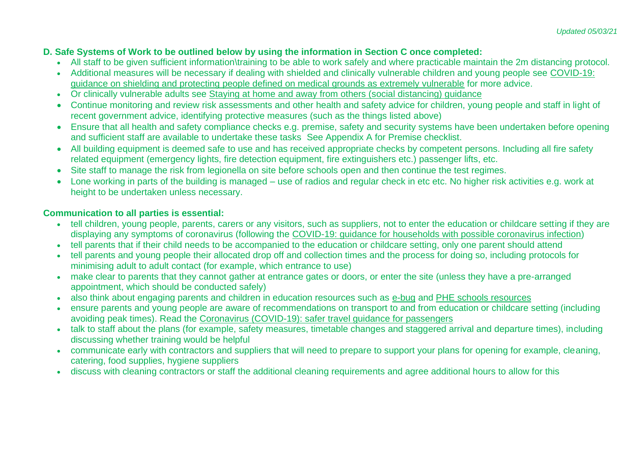## **D. Safe Systems of Work to be outlined below by using the information in Section C once completed:**

- All staff to be given sufficient information\training to be able to work safely and where practicable maintain the 2m distancing protocol.
- Additional measures will be necessary if dealing with shielded and clinically vulnerable children and young people see [COVID-19:](https://www.gov.uk/government/publications/guidance-on-shielding-and-protecting-extremely-vulnerable-persons-from-covid-19)  [guidance on shielding and protecting people defined on medical grounds as extremely vulnerable](https://www.gov.uk/government/publications/guidance-on-shielding-and-protecting-extremely-vulnerable-persons-from-covid-19) for more advice.
- Or clinically vulnerable adults see [Staying at home and away from others \(social distancing\) guidance](https://www.gov.uk/government/publications/staying-alert-and-safe-social-distancing/staying-alert-and-safe-social-distancing#clinically-vulnerable-people)
- Continue monitoring and review risk assessments and other health and safety advice for children, young people and staff in light of recent government advice, identifying protective measures (such as the things listed above)
- Ensure that all health and safety compliance checks e.g. premise, safety and security systems have been undertaken before opening and sufficient staff are available to undertake these tasks See Appendix A for Premise checklist.
- All building equipment is deemed safe to use and has received appropriate checks by competent persons. Including all fire safety related equipment (emergency lights, fire detection equipment, fire extinguishers etc.) passenger lifts, etc.
- Site staff to manage the risk from legionella on site before schools open and then continue the test regimes.
- Lone working in parts of the building is managed use of radios and regular check in etc etc. No higher risk activities e.g. work at height to be undertaken unless necessary.

## **Communication to all parties is essential:**

- tell children, young people, parents, carers or any visitors, such as suppliers, not to enter the education or childcare setting if they are displaying any symptoms of coronavirus (following the [COVID-19: guidance for households with possible coronavirus infection\)](https://www.gov.uk/government/publications/covid-19-stay-at-home-guidance)
- tell parents that if their child needs to be accompanied to the education or childcare setting, only one parent should attend
- tell parents and young people their allocated drop off and collection times and the process for doing so, including protocols for minimising adult to adult contact (for example, which entrance to use)
- make clear to parents that they cannot gather at entrance gates or doors, or enter the site (unless they have a pre-arranged appointment, which should be conducted safely)
- also think about engaging parents and children in education resources such as [e-bug](https://www.e-bug.eu/) and [PHE schools resources](https://campaignresources.phe.gov.uk/schools)
- ensure parents and young people are aware of recommendations on transport to and from education or childcare setting (including avoiding peak times). Read the [Coronavirus \(COVID-19\): safer travel guidance for passengers](https://www.gov.uk/guidance/coronavirus-covid-19-safer-travel-guidance-for-passengers)
- talk to staff about the plans (for example, safety measures, timetable changes and staggered arrival and departure times), including discussing whether training would be helpful
- communicate early with contractors and suppliers that will need to prepare to support your plans for opening for example, cleaning, catering, food supplies, hygiene suppliers
- discuss with cleaning contractors or staff the additional cleaning requirements and agree additional hours to allow for this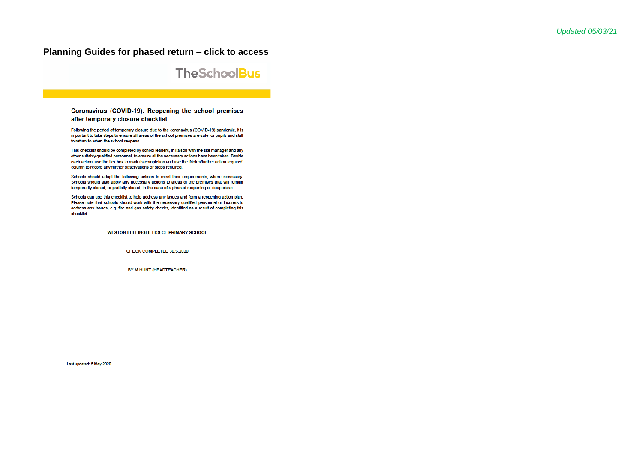### **Planning Guides for phased return – click to access**



#### Coronavirus (COVID-19): Reopening the school premises after temporary closure checklist

Following the period of temporary closure due to the coronavirus (COVID-19) pandemic, it is important to take steps to ensure all areas of the school premises are safe for pupils and staff to return to when the school reopens.

This checklist should be completed by school leaders, in liaison with the site manager and any other suitably qualified personnel, to ensure all the necessary actions have been taken. Beside each action, use the tick box to mark its completion and use the 'Notes/further action required' column to record any further observations or steps required.

Schools should adapt the following actions to meet their requirements, where necessary. Schools should also apply any necessary actions to areas of the premises that will remain temporarily closed, or partially closed, in the case of a phased reopening or deep clean.

Schools can use this checklist to help address any issues and form a reopening action plan. Please note that schools should work with the necessary qualified personnel or insurers to address any issues, e.g. fire and gas safety checks, identified as a result of completing this checklist.

**WESTON LULLINGFIELDS CE PRIMARY SCHOOL** 

CHECK COMPLETED 30.5.2020

BY M HUNT (HEADTEACHER)

Last updated: 5 May 2020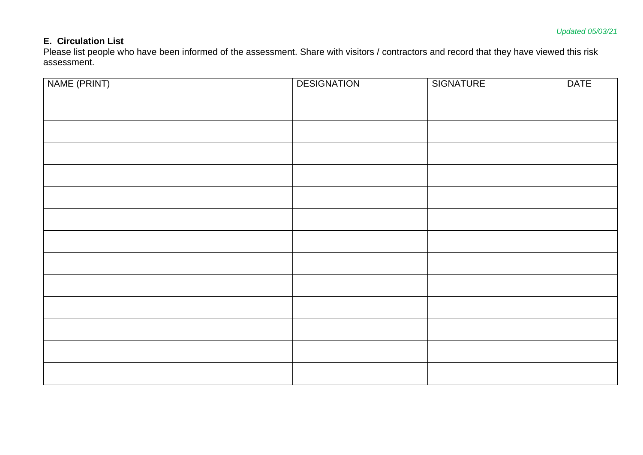## **E. Circulation List**

Please list people who have been informed of the assessment. Share with visitors / contractors and record that they have viewed this risk assessment.

| NAME (PRINT) | <b>DESIGNATION</b> | <b>SIGNATURE</b> | <b>DATE</b> |
|--------------|--------------------|------------------|-------------|
|              |                    |                  |             |
|              |                    |                  |             |
|              |                    |                  |             |
|              |                    |                  |             |
|              |                    |                  |             |
|              |                    |                  |             |
|              |                    |                  |             |
|              |                    |                  |             |
|              |                    |                  |             |
|              |                    |                  |             |
|              |                    |                  |             |
|              |                    |                  |             |
|              |                    |                  |             |
|              |                    |                  |             |